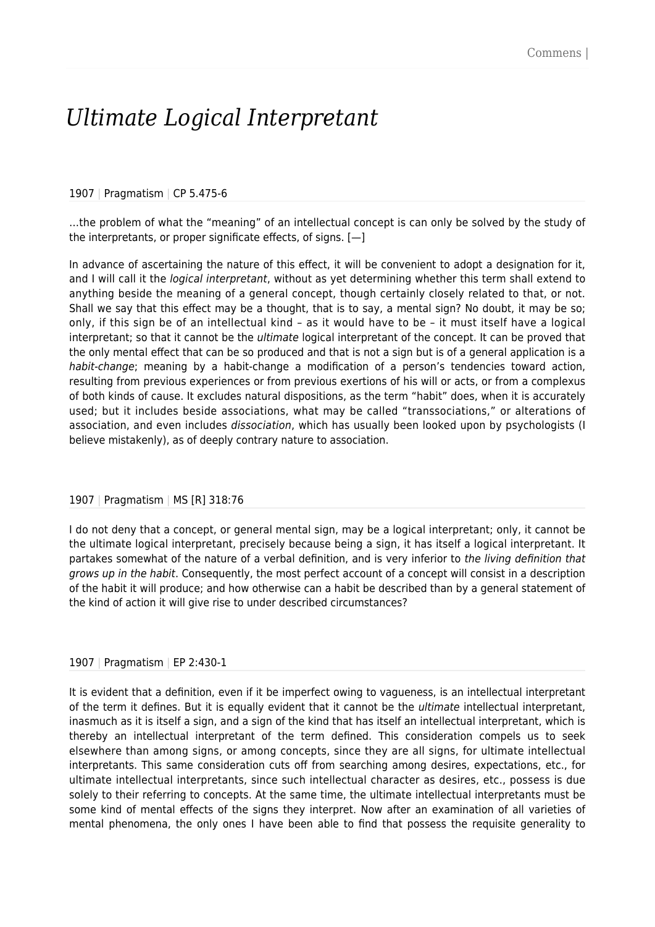## *Ultimate Logical Interpretant*

## 1907 | Pragmatism | CP 5.475-6

…the problem of what the "meaning" of an intellectual concept is can only be solved by the study of the interpretants, or proper significate effects, of signs. [—]

In advance of ascertaining the nature of this effect, it will be convenient to adopt a designation for it, and I will call it the *logical interpretant*, without as yet determining whether this term shall extend to anything beside the meaning of a general concept, though certainly closely related to that, or not. Shall we say that this effect may be a thought, that is to say, a mental sign? No doubt, it may be so; only, if this sign be of an intellectual kind – as it would have to be – it must itself have a logical interpretant; so that it cannot be the *ultimate* logical interpretant of the concept. It can be proved that the only mental effect that can be so produced and that is not a sign but is of a general application is a habit-change; meaning by a habit-change a modification of a person's tendencies toward action, resulting from previous experiences or from previous exertions of his will or acts, or from a complexus of both kinds of cause. It excludes natural dispositions, as the term "habit" does, when it is accurately used; but it includes beside associations, what may be called "transsociations," or alterations of association, and even includes *dissociation*, which has usually been looked upon by psychologists (I believe mistakenly), as of deeply contrary nature to association.

## 1907 | Pragmatism | MS [R] 318:76

I do not deny that a concept, or general mental sign, may be a logical interpretant; only, it cannot be the ultimate logical interpretant, precisely because being a sign, it has itself a logical interpretant. It partakes somewhat of the nature of a verbal definition, and is very inferior to the living definition that grows up in the habit. Consequently, the most perfect account of a concept will consist in a description of the habit it will produce; and how otherwise can a habit be described than by a general statement of the kind of action it will give rise to under described circumstances?

## 1907 | Pragmatism | EP 2:430-1

It is evident that a definition, even if it be imperfect owing to vagueness, is an intellectual interpretant of the term it defines. But it is equally evident that it cannot be the *ultimate* intellectual interpretant, inasmuch as it is itself a sign, and a sign of the kind that has itself an intellectual interpretant, which is thereby an intellectual interpretant of the term defined. This consideration compels us to seek elsewhere than among signs, or among concepts, since they are all signs, for ultimate intellectual interpretants. This same consideration cuts off from searching among desires, expectations, etc., for ultimate intellectual interpretants, since such intellectual character as desires, etc., possess is due solely to their referring to concepts. At the same time, the ultimate intellectual interpretants must be some kind of mental effects of the signs they interpret. Now after an examination of all varieties of mental phenomena, the only ones I have been able to find that possess the requisite generality to